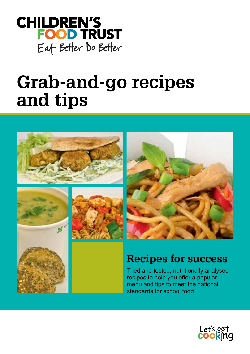

# **Grab-and-go recipes and tips**









## **Recipes for success**

Tried and tested, nutritionally analysed recipes to help you offer a popular menu and tips to meet the national standards for school food

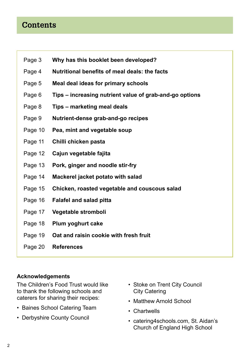## **Contents**

- Page 3 **Why has this booklet been developed?**
- Page 4 **Nutritional benefits of meal deals: the facts**
- Page 5 **Meal deal ideas for primary schools**
- Page 6 **Tips increasing nutrient value of grab-and-go options**
- Page 8 **Tips marketing meal deals**
- Page 9 **Nutrient-dense grab-and-go recipes**
- Page 10 **Pea, mint and vegetable soup**
- Page 11 **Chilli chicken pasta**
- Page 12 **Cajun vegetable fajita**
- Page 13 **Pork, ginger and noodle stir-fry**
- Page 14 **Mackerel jacket potato with salad**
- Page 15 **Chicken, roasted vegetable and couscous salad**
- Page 16 **Falafel and salad pitta**
- Page 17 **Vegetable stromboli**
- Page 18 **Plum yoghurt cake**
- Page 19 **Oat and raisin cookie with fresh fruit**
- Page 20 **References**

#### **Acknowledgements**

The Children's Food Trust would like to thank the following schools and caterers for sharing their recipes:

- Baines School Catering Team
- Derbyshire County Council
- Stoke on Trent City Council City Catering
- Matthew Arnold School
- Chartwells
- catering4schools.com, St. Aidan's Church of England High School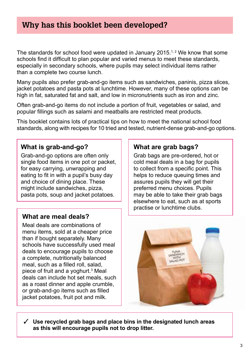## **Why has this booklet been developed?**

The standards for school food were updated in January 2015.<sup>1,2</sup> We know that some schools find it difficult to plan popular and varied menus to meet these standards, especially in secondary schools, where pupils may select individual items rather than a complete two course lunch.

Many pupils also prefer grab-and-go items such as sandwiches, paninis, pizza slices, jacket potatoes and pasta pots at lunchtime. However, many of these options can be high in fat, saturated fat and salt, and low in micronutrients such as iron and zinc.

Often grab-and-go items do not include a portion of fruit, vegetables or salad, and popular fillings such as salami and meatballs are restricted meat products.

This booklet contains lots of practical tips on how to meet the national school food standards, along with recipes for 10 tried and tested, nutrient-dense grab-and-go options.

## **What is grab-and-go?**

Grab-and-go options are often only single food items in one pot or packet, for easy carrying, unwrapping and eating to fit in with a pupil's busy day and choice of dining place. These might include sandwiches, pizza, pasta pots, soup and jacket potatoes.

## **What are meal deals?**

Meal deals are combinations of menu items, sold at a cheaper price than if bought separately. Many schools have successfully used meal deals to encourage pupils to choose a complete, nutritionally balanced meal, such as a filled roll, salad, piece of fruit and a yoghurt.<sup>3</sup> Meal deals can include hot set meals, such as a roast dinner and apple crumble, or grab-and-go items such as filled jacket potatoes, fruit pot and milk.

## **What are grab bags?**

Grab bags are pre-ordered, hot or cold meal deals in a bag for pupils to collect from a specific point. This helps to reduce queuing times and assures pupils they will get their preferred menu choices. Pupils may be able to take their grab bags elsewhere to eat, such as at sports practise or lunchtime clubs.



3 **Use recycled grab bags and place bins in the designated lunch areas as this will encourage pupils not to drop litter.**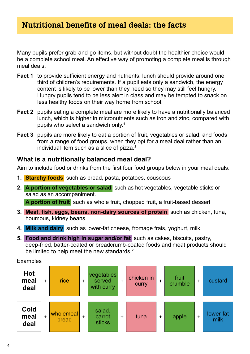Many pupils prefer grab-and-go items, but without doubt the healthier choice would be a complete school meal. An effective way of promoting a complete meal is through meal deals.

- **Fact 1** to provide sufficient energy and nutrients, lunch should provide around one third of children's requirements. If a pupil eats only a sandwich, the energy content is likely to be lower than they need so they may still feel hungry. Hungry pupils tend to be less alert in class and may be tempted to snack on less healthy foods on their way home from school.
- **Fact 2** pupils eating a complete meal are more likely to have a nutritionally balanced lunch, which is higher in micronutrients such as iron and zinc, compared with pupils who select a sandwich only.<sup>4</sup>
- **Fact 3** pupils are more likely to eat a portion of fruit, vegetables or salad, and foods from a range of food groups, when they opt for a meal deal rather than an individual item such as a slice of pizza.3

### **What is a nutritionally balanced meal deal?**

Aim to include food or drinks from the first four food groups below in your meal deals.

- **1. Starchy foods** such as bread, pasta, potatoes, couscous
- **2. A portion of vegetables or salad** such as hot vegetables, vegetable sticks or salad as an accompaniment. **A portion of fruit** such as whole fruit, chopped fruit, a fruit-based dessert
- **3. Meat, fish, eggs, beans, non-dairy sources of protein** such as chicken, tuna, houmous, kidney beans
- **4. Milk and dairy** such as lower-fat cheese, fromage frais, yoghurt, milk
- **5. Food and drink high in sugar and/or fat** such as cakes, biscuits, pastry, deep-fried, batter-coated or breadcrumb-coated foods and meat products should be limited to help meet the new standards.<sup>2</sup>



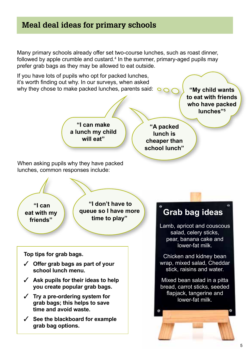## **Meal deal ideas for primary schools**

Many primary schools already offer set two-course lunches, such as roast dinner, followed by apple crumble and custard.<sup>4</sup> In the summer, primary-aged pupils may prefer grab bags as they may be allowed to eat outside.

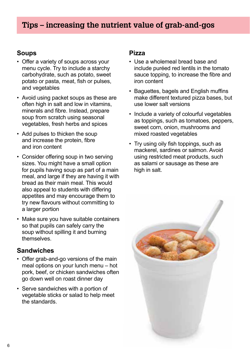## **Tips – increasing the nutrient value of grab-and-gos**

## **Soups**

- Offer a variety of soups across your menu cycle. Try to include a starchy carbohydrate, such as potato, sweet potato or pasta, meat, fish or pulses, and vegetables
- Avoid using packet soups as these are often high in salt and low in vitamins, minerals and fibre. Instead, prepare soup from scratch using seasonal vegetables, fresh herbs and spices
- Add pulses to thicken the soup and increase the protein, fibre and iron content
- Consider offering soup in two serving sizes. You might have a small option for pupils having soup as part of a main meal, and large if they are having it with bread as their main meal. This would also appeal to students with differing appetites and may encourage them to try new flavours without committing to a larger portion
- Make sure you have suitable containers so that pupils can safely carry the soup without spilling it and burning themselves.

## **Sandwiches**

- Offer grab-and-go versions of the main meal options on your lunch menu – hot pork, beef, or chicken sandwiches often go down well on roast dinner day
- Serve sandwiches with a portion of vegetable sticks or salad to help meet the standards.

### **Pizza**

- Use a wholemeal bread base and include puréed red lentils in the tomato sauce topping, to increase the fibre and iron content
- Baguettes, bagels and English muffins make different textured pizza bases, but use lower salt versions
- Include a variety of colourful vegetables as toppings, such as tomatoes, peppers, sweet corn, onion, mushrooms and mixed roasted vegetables
- Try using oily fish toppings, such as mackerel, sardines or salmon. Avoid using restricted meat products, such as salami or sausage as these are high in salt.

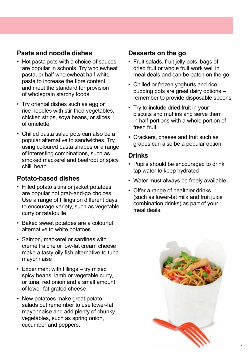## **Pasta and noodle dishes**

- Hot pasta pots with a choice of sauces are popular in schools. Try wholewheat pasta, or half wholewheat half white pasta to increase the fibre content and meet the standard for provision of wholegrain starchy foods
- Try oriental dishes such as egg or rice noodles with stir-fried vegetables, chicken strips, soya beans, or slices of omelette
- Chilled pasta salad pots can also be a popular alternative to sandwiches. Try using coloured pasta shapes or a range of interesting combinations, such as smoked mackerel and beetroot or spicy chilli bean.

## **Potato-based dishes**

- Filled potato skins or jacket potatoes are popular hot grab-and-go choices. Use a range of fillings on different days to encourage variety, such as vegetable curry or ratatouille
- Baked sweet potatoes are a colourful alternative to white potatoes
- Salmon, mackerel or sardines with crème fraiche or low-fat cream cheese make a tasty oily fish alternative to tuna mayonnaise
- Experiment with fillings try mixed spicy beans, lamb or vegetable curry, or tuna, red onion and a small amount of lower-fat grated cheese
- New potatoes make great potato salads but remember to use lower-fat mayonnaise and add plenty of chunky vegetables, such as spring onion, cucumber and peppers.

## **Desserts on the go**

- Fruit salads, fruit jelly pots, bags of dried fruit or whole fruit work well in meal deals and can be eaten on the go
- Chilled or frozen yoghurts and rice pudding pots are great dairy options – remember to provide disposable spoons
- Try to include dried fruit in your biscuits and muffins and serve them in half-portions with a whole portion of fresh fruit
- Crackers, cheese and fruit such as grapes can also be a popular option.

#### **Drinks**

- Pupils should be encouraged to drink tap water to keep hydrated
- Water must always be freely available
- Offer a range of healthier drinks (such as lower-fat milk and fruit juice combination drinks) as part of your meal deals.

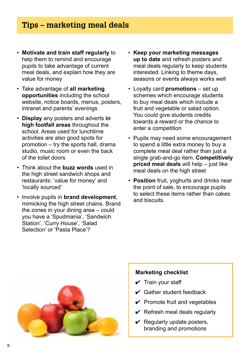## **Tips – marketing meal deals**

- **Motivate and train staff regularly** to help them to remind and encourage pupils to take advantage of current meal deals, and explain how they are value for money
- Take advantage of **all marketing opportunities** including the school website, notice boards, menus, posters, intranet and parents' evenings
- **Display** any posters and adverts **in high footfall areas** throughout the school. Areas used for lunchtime activities are also good spots for promotion – try the sports hall, drama studio, music room or even the back of the toilet doors
- Think about the **buzz words** used in the high street sandwich shops and restaurants: 'value for money' and 'locally sourced'
- Involve pupils in **brand development**, mimicking the high street chains. Brand the zones in your dining area – could you have a 'Spudmania', 'Sandwich Station', 'Curry House', 'Salad Selection' or 'Pasta Place'?
- **Keep your marketing messages up to date** and refresh posters and meal deals regularly to keep students interested. Linking to theme days, seasons or events always works well
- Loyalty card **promotions** set up schemes which encourage students to buy meal deals which include a fruit and vegetable or salad option. You could give students credits towards a reward or the chance to enter a competition
- Pupils may need some encouragement to spend a little extra money to buy a complete meal deal rather than just a single grab-and-go item. **Competitively priced meal deals** will help – just like meal deals on the high street
- **Position** fruit, yoghurts and drinks near the point of sale, to encourage pupils to select these items rather than cakes and biscuits.



#### **Marketing checklist**

- $\checkmark$  Train your staff
- $\vee$  Gather student feedback
- $\checkmark$  Promote fruit and vegetables
- $\vee$  Refresh meal deals regularly
- $\vee$  Regularly update posters, branding and promotions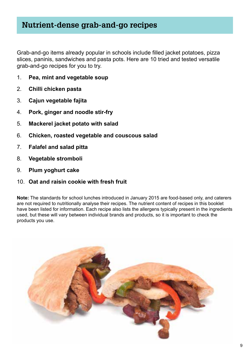## **Nutrient-dense grab-and-go recipes**

Grab-and-go items already popular in schools include filled jacket potatoes, pizza slices, paninis, sandwiches and pasta pots. Here are 10 tried and tested versatile grab-and-go recipes for you to try.

- 1. **Pea, mint and vegetable soup**
- 2. **Chilli chicken pasta**
- 3. **Cajun vegetable fajita**
- 4. **Pork, ginger and noodle stir-fry**
- 5. **Mackerel jacket potato with salad**
- 6. **Chicken, roasted vegetable and couscous salad**
- 7. **Falafel and salad pitta**
- 8. **Vegetable stromboli**
- 9. **Plum yoghurt cake**
- 10. **Oat and raisin cookie with fresh fruit**

**Note:** The standards for school lunches introduced in January 2015 are food-based only, and caterers are not required to nutritionally analyse their recipes. The nutrient content of recipes in this booklet have been listed for information. Each recipe also lists the allergens typically present in the ingredients used, but these will vary between individual brands and products, so it is important to check the products you use.

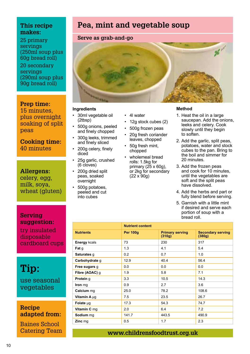25 primary servings (250ml soup plus 60g bread roll)

20 secondary servings (290ml soup plus 90g bread roll)

#### **Prep time:**

15 minutes, plus overnight soaking of split peas

**Cooking time:**  40 minutes

**Allergens:** celery, egg, milk, soya, wheat (gluten)

**Serving suggestion:**

try insulated disposable cardboard cups

**Tip:**  use seasonal

vegetables

**Recipe adapted from:** 

Baines School Catering Team

## **Pea, mint and vegetable soup**

#### **Serve as grab-and-go**



#### **Ingredients**

- 30ml vegetable oil (2tbsp)
- 500g onions, peeled and finely chopped
- 300g leeks, trimmed and finely sliced
- 200g celery, finely diced
- 25g garlic, crushed (6 cloves)
- 200g dried split peas, soaked overnight
- 500g potatoes, peeled and cut into cubes
- 4l water
- 12g stock cubes (2)
- 500g frozen peas
- 20g fresh coriander leaves, chopped
- 50g fresh mint, chopped
- wholemeal bread rolls: 1.5kg for primary (25 x 60g), or 2kg for secondary (22 x 90g)

#### **Method**

- 1. Heat the oil in a large saucepan. Add the onions. leeks and celery. Cook slowly until they begin to soften.
- 2. Add the garlic, split peas, potatoes, water and stock cubes to the pan. Bring to the boil and simmer for 20 minutes.
- 3. Add the frozen peas and cook for 10 minutes, until the vegetables are soft and the split peas have dissolved.
- 4. Add the herbs and part or fully blend before serving.
- 5. Garnish with a little mint if desired and serve each portion of soup with a bread roll.

|                     | <b>Nutrient content</b> |                                  |                                    |
|---------------------|-------------------------|----------------------------------|------------------------------------|
| <b>Nutrients</b>    | <b>Per 100g</b>         | <b>Primary serving</b><br>(310g) | <b>Secondary serving</b><br>(380g) |
| <b>Energy kcals</b> | 73                      | 230                              | 317                                |
| Fat g               | 1.3                     | 4.1                              | 5.4                                |
| Saturates g         | 0.2                     | 0.7                              | 1.0                                |
| Carbohydrate g      | 12.9                    | 40.4                             | 56.4                               |
| Free sugars g       | 0.0                     | 0.0                              | 0.0                                |
| Fibre (AOAC) q      | 1.9                     | 5.8                              | 7.1                                |
| Protein g           | 3.3                     | 10.5                             | 14.3                               |
| Iron mg             | 0.9                     | 2.7                              | 3.6                                |
| Calcium mg          | 25.0                    | 78.2                             | 108.6                              |
| Vitamin A µg        | 7.5                     | 23.5                             | 26.7                               |
| Folate µg           | 17.3                    | 54.3                             | 74.7                               |
| Vitamin C mg        | 2.0                     | 6.4                              | 7.2                                |
| Sodium mg           | 141.7                   | 443.5                            | 490.9                              |
| Zinc mg             | 0.5                     | 1.7                              | 2.3                                |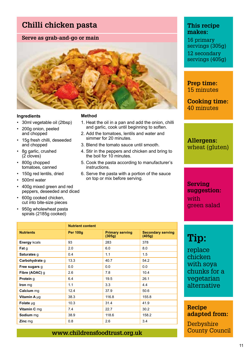## **Chilli chicken pasta**

#### **Serve as grab-and-go or main**



#### **Ingredients**

- 30ml vegetable oil (2tbsp)
- 200g onion, peeled and chopped
- 15g fresh chilli, deseeded and chopped
- 8g garlic, crushed  $(2 \overline{c}$ loves)
- 800g chopped tomatoes, canned
- 150g red lentils, dried
- 500ml water
- 400g mixed green and red peppers, deseeded and diced
- 600g cooked chicken, cut into bite-size pieces
- 950g wholewheat pasta spirals (2185g cooked)

#### **Method**

- 1. Heat the oil in a pan and add the onion, chilli and garlic, cook until beginning to soften.
- 2. Add the tomatoes, lentils and water and simmer for 20 minutes
- 3. Blend the tomato sauce until smooth.
- 4. Stir in the peppers and chicken and bring to the boil for 10 minutes.
- 5. Cook the pasta according to manufacturer's instructions.
- 6. Serve the pasta with a portion of the sauce on top or mix before serving.

|                  | <b>Nutrient content</b> |                                  |                                    |
|------------------|-------------------------|----------------------------------|------------------------------------|
| <b>Nutrients</b> | <b>Per 100g</b>         | <b>Primary serving</b><br>(305g) | <b>Secondary serving</b><br>(405g) |
| Energy kcals     | 93                      | 283                              | 378                                |
| Fat g            | 2.0                     | 6.0                              | 8.0                                |
| Saturates g      | 0.4                     | 1.1                              | 1.5                                |
| Carbohydrate q   | 13.3                    | 40.7                             | 54.2                               |
| Free sugars g    | 0.0                     | 0.0                              | 0.0                                |
| Fibre (AOAC) q   | 2.6                     | 7.8                              | 10.4                               |
| Protein q        | 6.4                     | 19.5                             | 26.1                               |
| Iron mg          | 1.1                     | 3.3                              | 4.4                                |
| Calcium mg       | 12.4                    | 37.9                             | 50.6                               |
| Vitamin A µg     | 38.3                    | 116.8                            | 155.8                              |
| Folate µg        | 10.3                    | 31.4                             | 41.9                               |
| Vitamin C mg     | 7.4                     | 22.7                             | 30.2                               |
| Sodium mg        | 38.9                    | 118.6                            | 158.2                              |
| Zinc mg          | 0.8                     | 2.6                              | 3.4                                |
|                  |                         |                                  |                                    |

#### **This recipe makes:**

16 primary servings (305g) 12 secondary servings (405g)

**Prep time:** 15 minutes

**Cooking time:**  40 minutes

**Allergens:** wheat (gluten)

**Serving suggestion:** with green salad

## **Tip:**

replace chicken with soya chunks for a vegetarian alternative

**Recipe adapted from:** 

**Derbyshire** County Council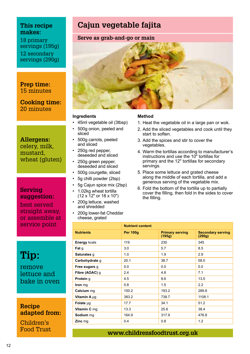18 primary servings (195g) 12 secondary servings (290g)

#### **Prep time:** 15 minutes

**Cooking time:**  20 minutes

#### **Allergens:**

celery, milk, mustard, wheat (gluten)

#### **Serving suggestion:**

best served straight away. or assemble at service point

**Tip:**  remove

lettuce and bake in oven

**Recipe adapted from:** 

Children's Food Trust

## **Cajun vegetable fajita**





#### **Ingredients**

- 45ml vegetable oil (3tbsp)
- 500g onion, peeled and sliced
- 500g carrots, peeled and sliced
- 250g red pepper, deseeded and sliced
- 250g green pepper, deseeded and sliced
- 500g courgette, sliced
- 5g chilli powder (2tsp)
- 5g Cajun spice mix (2tsp)
- 1.02kg wheat tortilla (12 x 12" or 18 x 10")
- 200g lettuce, washed and shredded
- 200g lower-fat Cheddar cheese, grated

#### **Method**

- 1. Heat the vegetable oil in a large pan or wok.
- 2. Add the sliced vegetables and cook until they start to soften.
- 3. Add the spices and stir to cover the vegetables.
- 4. Warm the tortillas according to manufacturer's instructions and use the 10" tortillas for primary and the 12" tortillas for secondary servings.
- 5. Place some lettuce and grated cheese along the middle of each tortilla, and add a generous serving of the vegetable mix.
- 6. Fold the bottom of the tortilla up to partially cover the filling, then fold in the sides to cover the filling.

|                  | <b>Nutrient content</b> |                                  |                                    |
|------------------|-------------------------|----------------------------------|------------------------------------|
| <b>Nutrients</b> | <b>Per 100g</b>         | <b>Primary serving</b><br>(195g) | <b>Secondary serving</b><br>(290g) |
| Energy kcals     | 119                     | 230                              | 345                                |
| Fat g            | 3.0                     | 5.7                              | 8.5                                |
| Saturates g      | 1.0                     | 1.9                              | 2.9                                |
| Carbohydrate g   | 20.1                    | 38.7                             | 58.0                               |
| Free sugars q    | 0.0                     | 0.0                              | 0.0                                |
| Fibre (AOAC) g   | 2.4                     | 4.8                              | 7.1                                |
| Protein g        | 4.5                     | 8.6                              | 13.0                               |
| Iron mg          | 0.8                     | 1.5                              | 2.2                                |
| Calcium mg       | 100.2                   | 193.2                            | 289.8                              |
| Vitamin A µg     | 383.2                   | 738.7                            | 1108.1                             |
| Folate µg        | 17.7                    | 34.1                             | 51.2                               |
| Vitamin C mg     | 13.3                    | 25.6                             | 38.4                               |
| Sodium mg        | 164.9                   | 317.9                            | 476.8                              |
| Zinc mg          | 0.4                     | 0.8                              | 1.2                                |
|                  |                         |                                  |                                    |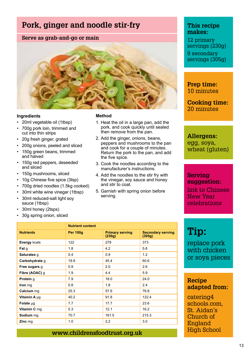## **Pork, ginger and noodle stir-fry**

#### **Serve as grab-and-go or main**



#### **Ingredients**

- 20ml vegetable oil (1tbsp)
- 700g pork loin, trimmed and cut into thin strips
- 20g fresh ginger, grated
- 200g onions, peeled and sliced
- 150g green beans, trimmed and halved
- 150g red peppers, deseeded and sliced
- 150g mushrooms, sliced
- 10g Chinese five spice (3tsp)
- 700g dried noodles (1.5kg cooked)
- 30ml white wine vinegar (1tbsp) • 30ml reduced-salt light soy sauce (1tbsp)
- 30ml honey (2tsps)
- 30g spring onion, sliced

#### **Method**

- 1. Heat the oil in a large pan, add the pork, and cook quickly until sealed then remove from the pan.
- 2. Add the ginger, onions, beans, peppers and mushrooms to the pan and cook for a couple of minutes. Return the pork to the pan, and add the five spice.
- 3. Cook the noodles according to the manufacturer's instructions.
- 4. Add the noodles to the stir fry with the vinegar, soy sauce and honey and stir to coat.
- 5. Garnish with spring onion before serving.

#### **This recipe makes:**

12 primary servings (230g) 9 secondary servings (305g)

**Prep time:** 10 minutes

**Cooking time:**  20 minutes

**Allergens:** egg, soya, wheat (gluten)

#### **Serving suggestion:**

link to Chinese New Year celebrations

## **Tip:**

replace pork with chicken or soya pieces

#### **Recipe adapted from:**

catering4 schools.com, St. Aidan's Church of England High School

|                     | <b>Nutrient content</b> |                                  |                                    |
|---------------------|-------------------------|----------------------------------|------------------------------------|
| <b>Nutrients</b>    | <b>Per 100g</b>         | <b>Primary serving</b><br>(230g) | <b>Secondary serving</b><br>(305g) |
| <b>Energy kcals</b> | 122                     | 279                              | 373                                |
| Fat q               | 1.8                     | 4.2                              | 5.6                                |
| Saturates g         | 0.4                     | 0.9                              | 1.2                                |
| Carbohydrate g      | 19.9                    | 45.4                             | 60.6                               |
| Free sugars g       | 0.9                     | 2.0                              | 2.6                                |
| Fibre (AOAC) g      | 1.9                     | 4.4                              | 5.9                                |
| Protein g           | 7.9                     | 18.0                             | 24.0                               |
| Iron mg             | 0.8                     | 1.8                              | 2.4                                |
| Calcium mg          | 25.3                    | 57.6                             | 76.8                               |
| Vitamin A µq        | 40.2                    | 91.8                             | 122.4                              |
| Folate $\mu$ g      | 7.7                     | 17.7                             | 23.6                               |
| Vitamin C mq        | 5.3                     | 12.1                             | 16.2                               |
| Sodium mg           | 70.7                    | 161.5                            | 215.3                              |
| Zinc mg             | 1.0                     | 2.2                              | 3.0                                |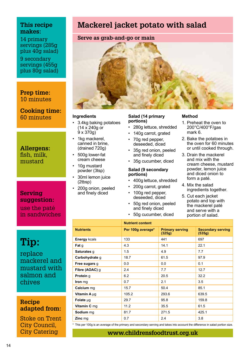14 primary servings (285g plus 40g salad) 9 secondary servings (455g plus 80g salad)

**Prep time:** 10 minutes

**Cooking time:**  60 minutes

**Allergens:** fish, milk, mustard

**Serving suggestion:** use the paté in sandwiches

**Tip:**  replace mackerel and mustard with salmon and chives

**Recipe adapted from:** 

Stoke on Trent City Council, City Catering

## **Mackerel jacket potato with salad**

#### **Serve as grab-and-go or main**



#### **Ingredients**

- 3.4kg baking potatoes  $(14 \times 240g)$  or  $9 \times 370q$
- 1kg mackerel, canned in brine, (drained 720g)
- 500g lower-fat cream cheese
- 10g mustard powder (3tsp)
- 30ml lemon juice (2tbsp)
- 200g onion, peeled and finely diced

#### **Salad (14 primary portions)**

- 280g lettuce, shredded
- 140g carrot, grated
- 70g red pepper, deseeded, diced
- 35g red onion, peeled and finely diced
- 35g cucumber, diced

#### **Salad (9 secondary portions)**

- 400g lettuce, shredded
- 200g carrot, grated
- 100g red pepper, deseeded, diced
- 50g red onion, peeled and finely diced
- 50g cucumber, diced

#### **Method**

- 1. Preheat the oven to 200°C/400°F/gas mark 6.
- 2. Bake the potatoes in the oven for 60 minutes or until cooked through.
- 3. Drain the mackerel and mix with the cream cheese, mustard powder, lemon juice and diced onion to form a paté.
- 4. Mix the salad ingredients together.
- 5. Cut each jacket potato and top with the mackerel paté and serve with a portion of salad.

|                  | <b>Nutrient content</b> |                                  |                                    |
|------------------|-------------------------|----------------------------------|------------------------------------|
| <b>Nutrients</b> | Per 100g average*       | <b>Primary serving</b><br>(325g) | <b>Secondary serving</b><br>(535g) |
| Energy kcals     | 133                     | 441                              | 697                                |
| Fat q            | 4.3                     | 14.1                             | 22.1                               |
| Saturates g      | 1.5                     | 4.9                              | 7.7                                |
| Carbohydrate g   | 18.7                    | 61.5                             | 97.9                               |
| Free sugars g    | 0.0                     | 0.0                              | 0.1                                |
| Fibre (AOAC) g   | 2.4                     | 7.7                              | 12.7                               |
| Protein g        | 6.2                     | 20.5                             | 32.2                               |
| Iron mg          | 0.7                     | 2.1                              | 3.5                                |
| Calcium mg       | 15.7                    | 50.4                             | 85.1                               |
| Vitamin A µg     | 105.2                   | 293.6                            | 639.5                              |
| Folate µg        | 29.7                    | 95.8                             | 159.8                              |
| Vitamin C mg     | 11.2                    | 35.5                             | 61.5                               |
| Sodium mg        | 81.7                    | 271.5                            | 425.1                              |
| Zinc mg          | 0.7                     | 2.4                              | 3.8                                |

This per 100g is an average of the primary and secondary serving and takes into account the difference in salad portion size.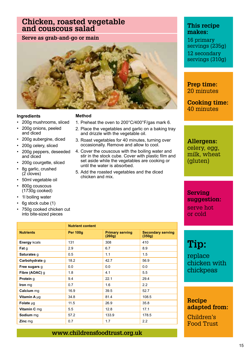## **Chicken, roasted vegetable and couscous salad**

**Serve as grab-and-go or main**



#### **Ingredients**

#### **Method**

- 200g mushrooms, sliced
- 200g onions, peeled and diced
- 200g aubergine, diced
- 200g celery, sliced
- 200g peppers, deseeded and diced
- 200g courgette, sliced
- 8g garlic, crushed (2 cloves)
- 50ml vegetable oil
- 800g couscous (1730g cooked)
- 1l boiling water
- 6g stock cube (1)
- 750g cooked chicken cut into bite-sized pieces
- 1. Preheat the oven to 200°C/400°F/gas mark 6.
- 2. Place the vegetables and garlic on a baking tray and drizzle with the vegetable oil.
- 3. Roast vegetables for 40 minutes, turning over occasionally. Remove and allow to cool.
- 4. Cover the couscous with the boiling water and stir in the stock cube. Cover with plastic film and set aside while the vegetables are cooking or until the water is absorbed.
- 5. Add the roasted vegetables and the diced chicken and mix.

|                  | <b>Nutrient content</b> |                                  |                                    |
|------------------|-------------------------|----------------------------------|------------------------------------|
| <b>Nutrients</b> | <b>Per 100g</b>         | <b>Primary serving</b><br>(260g) | <b>Secondary serving</b><br>(350g) |
| Energy kcals     | 131                     | 308                              | 410                                |
| Fat q            | 2.9                     | 6.7                              | 8.9                                |
| Saturates g      | 0.5                     | 1.1                              | 1.5                                |
| Carbohydrate g   | 18.2                    | 42.7                             | 56.9                               |
| Free sugars g    | 0.0                     | 0.0                              | 0.0                                |
| Fibre (AOAC) q   | 1.8                     | 4.1                              | 5.5                                |
| Protein q        | 9.4                     | 22.1                             | 29.4                               |
| Iron mg          | 0.7                     | 1.6                              | 2.2                                |
| Calcium mg       | 16.9                    | 39.5                             | 52.7                               |
| Vitamin A µq     | 34.8                    | 81.4                             | 108.5                              |
| Folate µg        | 11.5                    | 26.9                             | 35.8                               |
| Vitamin C mg     | 5.5                     | 12.8                             | 17.1                               |
| Sodium mg        | 57.2                    | 133.9                            | 178.5                              |
| Zinc mg          | 0.7                     | 1.7                              | 2.2                                |

### **www.childrensfoodtrust.org.uk**

#### **This recipe makes:**

16 primary servings (235g) 12 secondary servings (310g)

**Prep time:** 20 minutes

**Cooking time:**  40 minutes

**Allergens:** celery, egg, milk, wheat (gluten)

#### **Serving suggestion:** serve hot or cold

## **Tip:**

replace chicken with chickpeas

#### **Recipe adapted from:**

Children's Food Trust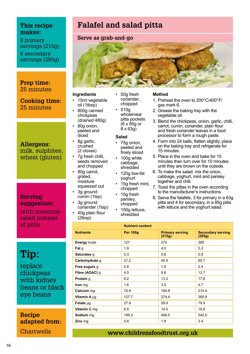8 primary servings (215g) 6 secondary servings (285g)

#### **Prep time:** 25 minutes

**Cooking time:**  25 minutes

#### **Allergens:**

milk, sulphites, wheat (gluten)

#### **Serving suggestion:**

with couscous salad instead of pitta

## **Tip:**

replace chickpeas with kidney beans or black eye beans

**Recipe adapted from: Chartwells** 

## **Falafel and salad pitta**

• 50g fresh coriander, chopped • 510g wholemeal pitta pockets  $(6 \times 85)$ g or  $8 \times 63$ g) **Salad** • 75g onion, peeled and finely sliced • 100g white cabbage, shredded • 120g low-fat yoghurt 15g fresh mint. chopped • 15g fresh parsley, chopped • 150g lettuce, shredded

#### **Serve as grab-and-go**



#### **Ingredients**

- 15ml vegetable oil (1tbsp) • 800g canned chickpeas
- (drained 480g) • 80g onion, peeled and diced
- 8g garlic, crushed (2 cloves)
- 7g fresh chilli, seeds removed and chopped • 80g carrot, grated, moisture
- squeezed out 3g ground
- cumin (1tsp) 3g ground coriander (1tsp)
- 40g plain flour (2tbsp)
- **Method**
	- 1. Preheat the oven to 200°C/400°F/ gas mark 6.
- 2. Grease the baking tray with the vegetable oil.
- 3. Blend the chickpeas, onion, garlic, chilli, carrot, cumin, coriander, plain flour and fresh coriander leaves in a food processor to form a rough paste.
- 4. Form into 24 balls, flatten slightly, place on the baking tray and refrigerate for 15 minutes.
- 5. Place in the oven and bake for 15 minutes then turn over for 10 minutes until they are brown on the outside.
- 6. To make the salad: mix the onion, cabbage, yoghurt, mint and parsley together and chill.
- 7. Toast the pittas in the oven according to the manufacturer's instructions.
- 8. Serve the falafels, 3 for primary in a 63g pitta and 4 for secondary, in a 85q pitta with lettuce and the yoghurt salad.

|                     | <b>Nutrient content</b> |                                  |                                    |
|---------------------|-------------------------|----------------------------------|------------------------------------|
| <b>Nutrients</b>    | <b>Per 100g</b>         | <b>Primary serving</b><br>(215g) | <b>Secondary serving</b><br>(285g) |
| <b>Energy kcals</b> | 127                     | 274                              | 365                                |
| Fat q               | 1.9                     | 4.0                              | 5.3                                |
| Saturates g         | 0.3                     | 0.6                              | 0.8                                |
| Carbohydrate g      | 21.2                    | 45.5                             | 60.7                               |
| Free sugars g       | 0.8                     | 1.8                              | 2.4                                |
| Fibre (AOAC) g      | 4.5                     | 9.6                              | 12.7                               |
| Protein g           | 6.2                     | 13.3                             | 17.8                               |
| Iron mg             | 1.6                     | 3.5                              | 4.7                                |
| Calcium mg          | 74.8                    | 160.8                            | 214.4                              |
| Vitamin A µg        | 127.7                   | 274.4                            | 365.8                              |
| Folate µg           | 27.9                    | 59.9                             | 79.9                               |
| Vitamin C mg        | 6.5                     | 14.0                             | 18.6                               |
| Sodium mg           | 189.2                   | 406.5                            | 542.0                              |
| Zinc mg             | 0.8                     | 1.8                              | 2.4                                |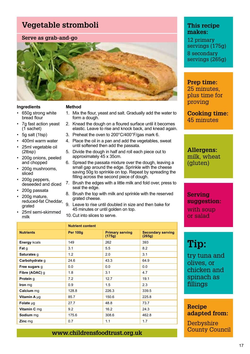## **Vegetable stromboli**

#### **Serve as grab-and-go**



#### **Ingredients**

#### **Method**

- 650g strong white bread flour
- 7g fast action yeast (1 sachet)
- 5g salt (1tsp)
- 400ml warm water
- 25ml vegetable oil (2tbsp)
- 200g onions, peeled and chopped
- 200g mushrooms, sliced
- 200g peppers, deseeded and diced
- 200g passata
- 200g mature, reduced-fat Cheddar, grated
- 25ml semi-skimmed milk
- 1. Mix the flour, yeast and salt. Gradually add the water to form a dough. 2. Knead the dough on a floured surface until it becomes
- elastic. Leave to rise and knock back, and knead again.
- 3. Preheat the oven to 200°C/400°F/gas mark 6.
- 4. Place the oil in a pan and add the vegetables, sweat until softened then add the passata.
- 5. Divide the dough in half and roll each piece out to approximately 45 x 35cm.
- 6. Spread the passata mixture over the dough, leaving a small gap around the edge. Sprinkle with the cheese saving 50g to sprinkle on top. Repeat by spreading the filling across the second piece of dough.
- 7. Brush the edges with a little milk and fold over, press to seal the edge.
- 8. Brush the top with milk and sprinkle with the reserved grated cheese.
- 9. Leave to rise until doubled in size and then bake for 45 minutes or until golden on top.
- 10. Cut into slices to serve.

|                     | <b>Nutrient content</b> |                                  |                                    |
|---------------------|-------------------------|----------------------------------|------------------------------------|
| <b>Nutrients</b>    | <b>Per 100g</b>         | <b>Primary serving</b><br>(175g) | <b>Secondary serving</b><br>(265g) |
| <b>Energy kcals</b> | 149                     | 262                              | 393                                |
| Fat g               | 3.1                     | 5.5                              | 8.2                                |
| Saturates g         | 1.2                     | 2.0                              | 3.1                                |
| Carbohydrate q      | 24.6                    | 43.3                             | 64.9                               |
| Free sugars g       | 0.0                     | 0.0                              | 0.0                                |
| Fibre (AOAC) q      | 1.8                     | 3.1                              | 4.7                                |
| Protein q           | 7.2                     | 12.7                             | 19.1                               |
| Iron mg             | 0.9                     | 1.5                              | 2.3                                |
| Calcium mg          | 128.8                   | 226.3                            | 339.5                              |
| Vitamin A µq        | 85.7                    | 150.6                            | 225.8                              |
| Folate ug           | 27.7                    | 48.8                             | 73.7                               |
| Vitamin C mq        | 9.2                     | 16.2                             | 24.3                               |
| Sodium mg           | 175.6                   | 308.6                            | 462.8                              |
| Zinc mg             | 0.7                     | 1.1                              | 1.7                                |

### **www.childrensfoodtrust.org.uk**

#### **This recipe makes:**

12 primary servings (175g) 8 secondary servings (265g)

### **Prep time:**

25 minutes, plus time for proving

**Cooking time:**  45 minutes

**Allergens:** milk, wheat (gluten)

**Serving suggestion:** with soup or salad

## **Tip:**

try tuna and olives, or chicken and spinach as fillings

#### **Recipe adapted from:**

**Derbyshire** County Council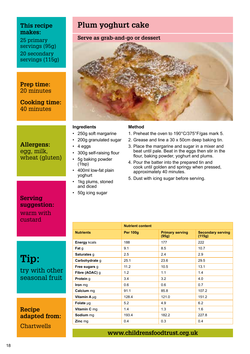25 primary servings (95g) 20 secondary servings (115g)

**Prep time:** 20 minutes

**Cooking time:**  40 minutes

#### **Allergens:** egg, milk, wheat (gluten)

**Serving suggestion:** warm with custard

**Tip:**  try with other seasonal fruit

**Recipe adapted from: Chartwells** 

## **Plum yoghurt cake**

#### **Serve as grab-and-go or dessert**



#### **Ingredients**

- 250g soft margarine
- 200g granulated sugar
- 4 eggs
- 300g self-raising flour
- 5g baking powder  $(Ttsp)$
- 400ml low-fat plain yoghurt
- 1kg plums, stoned and diced
- 50g icing sugar

#### **Method**

- 1. Preheat the oven to 190°C/375°F/gas mark 5.
- 2. Grease and line a 30 x 50cm deep baking tin.
- 3. Place the margarine and sugar in a mixer and beat until pale. Beat in the eggs then stir in the flour, baking powder, yoghurt and plums.
- 4. Pour the batter into the prepared tin and cook until golden and springy when pressed, approximately 40 minutes.
- 5. Dust with icing sugar before serving.

|                     | <b>Nutrient content</b> |                                 |                                    |
|---------------------|-------------------------|---------------------------------|------------------------------------|
| <b>Nutrients</b>    | <b>Per 100g</b>         | <b>Primary serving</b><br>(95g) | <b>Secondary serving</b><br>(115g) |
| <b>Energy kcals</b> | 188                     | 177                             | 222                                |
| Fat g               | 9.1                     | 8.5                             | 10.7                               |
| Saturates g         | 2.5                     | 2.4                             | 2.9                                |
| Carbohydrate g      | 25.1                    | 23.6                            | 29.5                               |
| Free sugars g       | 11.2                    | 10.5                            | 13.1                               |
| Fibre (AOAC) g      | 1.2                     | 1.1                             | 1.4                                |
| Protein g           | 3.4                     | 3.2                             | 4.0                                |
| Iron mg             | 0.6                     | 0.6                             | 0.7                                |
| Calcium mg          | 91.1                    | 85.8                            | 107.2                              |
| Vitamin A µg        | 128.4                   | 121.0                           | 151.2                              |
| Folate µg           | 5.2                     | 4.9                             | 6.2                                |
| Vitamin C mg        | 1.4                     | 1.3                             | 1.6                                |
| Sodium mg           | 193.4                   | 182.2                           | 227.8                              |
| Zinc mg             | 0.4                     | 0.3                             | 0.4                                |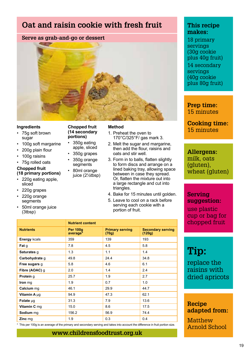## **Oat and raisin cookie with fresh fruit**

#### **Serve as grab-and-go or dessert**



**Chopped fruit (14 secondary portions)** • 350g eating apple, sliced • 350g grapes • 350g orange segments • 80ml orange juice (2½tbsp)

#### **Ingredients**

- 75g soft brown sugar
- 100g soft margarine
- 200g plain flour
- 100g raisins
- 75g rolled oats
- **Chopped fruit**
- **(18 primary portions)**
- 220g eating apple, sliced
- 220g grapes
- 220g orange segments
- 50ml orange juice (3tbsp)

#### **Method**

- 1. Preheat the oven to 170°C/325°F/ gas mark 3.
- 2. Melt the sugar and margarine then add the flour, raisins and oats and stir well.
- 3. Form in to balls, flatten slightly to form discs and arrange on a lined baking tray, allowing space between in case they spread. Or, flatten the mixture out into a large rectangle and cut into triangles.
- 4. Bake for 15 minutes until golden.
- 5. Leave to cool on a rack before serving each cookie with a portion of fruit.

| <b>Nutrient content</b>                 |                                 |                                    |
|-----------------------------------------|---------------------------------|------------------------------------|
| <b>Per 100g</b><br>average <sup>*</sup> | <b>Primary serving</b><br>(70g) | <b>Secondary serving</b><br>(120g) |
| 359                                     | 139                             | 193                                |
| 7.8                                     | 4.5                             | 5.8                                |
| 1.3                                     | 1.1                             | 1.4                                |
| 49.8                                    | 24.4                            | 34.8                               |
| 5.8                                     | 4.6                             | 6.1                                |
| 2.0                                     | 1.4                             | 2.4                                |
| 25.7                                    | 1.9                             | 2.7                                |
| 1.9                                     | 0.7                             | 1.0                                |
| 46.1                                    | 29.9                            | 44.7                               |
| 94.9                                    | 47.3                            | 62.1                               |
| 31.3                                    | 7.9                             | 13.6                               |
| 15.0                                    | 8.6                             | 17.5                               |
| 156.2                                   | 56.9                            | 74.4                               |
| 1.9                                     | 0.3                             | 0.4                                |
|                                         |                                 |                                    |

This per 100g is an average of the primary and secondary serving and takes into account the difference in fruit portion size.

#### **www.childrensfoodtrust.org.uk**

#### **This recipe makes:**

18 primary servings (30g cookie plus 40g fruit) 14 secondary servings (40g cookie plus 80g fruit)

**Prep time:** 15 minutes

**Cooking time:**  15 minutes

**Allergens:** milk, oats (gluten), wheat (gluten)

#### **Serving suggestion:**

use plastic cup or bag for chopped fruit

## **Tip:**

replace the raisins with dried apricots

#### **Recipe adapted from:**

**Matthew** Arnold School